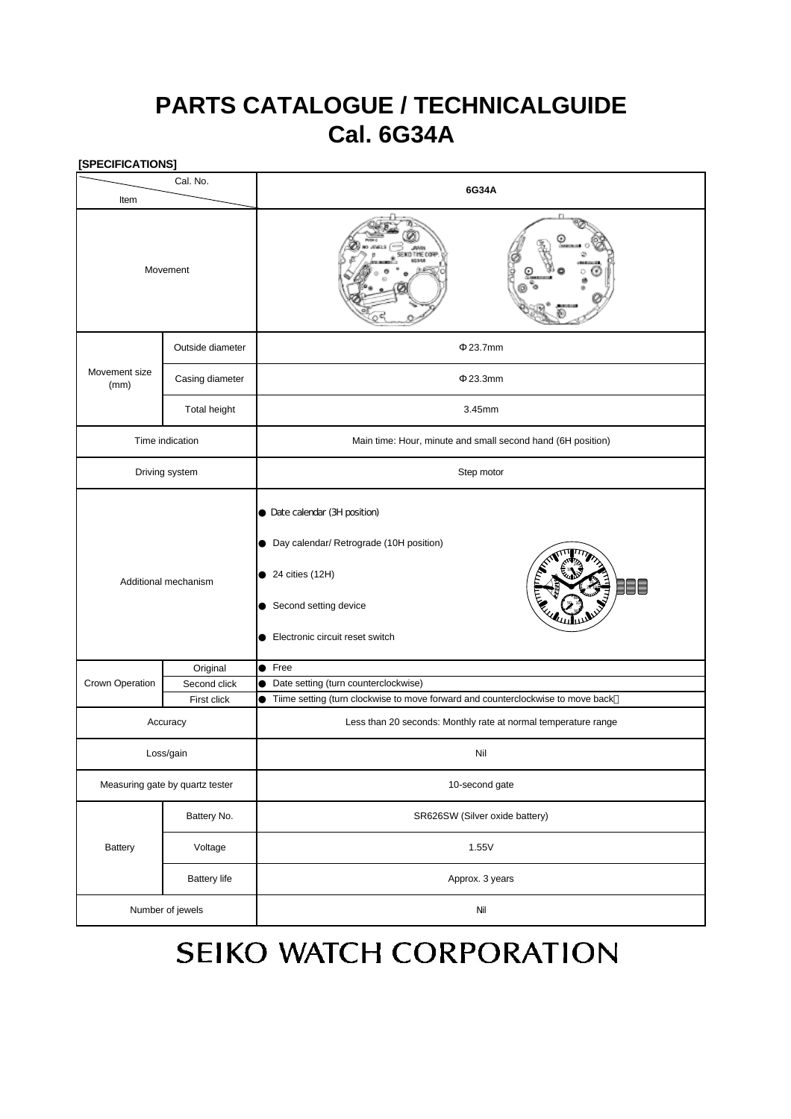## **PARTS CATALOGUE / TECHNICALGUIDE Cal. 6G34A**

| [SPECIFICATIONS]                |                             |                                                                                                                                                             |  |
|---------------------------------|-----------------------------|-------------------------------------------------------------------------------------------------------------------------------------------------------------|--|
| Cal. No.                        |                             | 6G34A                                                                                                                                                       |  |
| Item                            |                             |                                                                                                                                                             |  |
| Movement                        |                             | ) THE CO                                                                                                                                                    |  |
| Movement size<br>(mm)           | Outside diameter            | 23.7mm                                                                                                                                                      |  |
|                                 | Casing diameter             | 23.3mm                                                                                                                                                      |  |
|                                 | Total height                | 3.45mm                                                                                                                                                      |  |
| Time indication                 |                             | Main time: Hour, minute and small second hand (6H position)                                                                                                 |  |
| Driving system                  |                             | Step motor                                                                                                                                                  |  |
| Additional mechanism            |                             | Date calendar (3H position)<br>Day calendar/ Retrograde (10H position)<br>24 cities (12H)<br>≣⊟<br>Second setting device<br>Electronic circuit reset switch |  |
|                                 | Original                    | Free                                                                                                                                                        |  |
| Crown Operation                 | Second click<br>First click | Date setting (turn counterclockwise)                                                                                                                        |  |
|                                 |                             | Tiime setting (turn clockwise to move forward and counterclockwise to move back                                                                             |  |
| Accuracy                        |                             | Less than 20 seconds: Monthly rate at normal temperature range                                                                                              |  |
| Loss/gain                       |                             | Nil                                                                                                                                                         |  |
| Measuring gate by quartz tester |                             | 10-second gate                                                                                                                                              |  |
| Battery                         | Battery No.                 | SR626SW (Silver oxide battery)                                                                                                                              |  |
|                                 | Voltage                     | 1.55V                                                                                                                                                       |  |
|                                 | <b>Battery life</b>         | Approx. 3 years                                                                                                                                             |  |
| Number of jewels                |                             | $\rm {Nil}$                                                                                                                                                 |  |

# SEIKO WATCH CORPORATION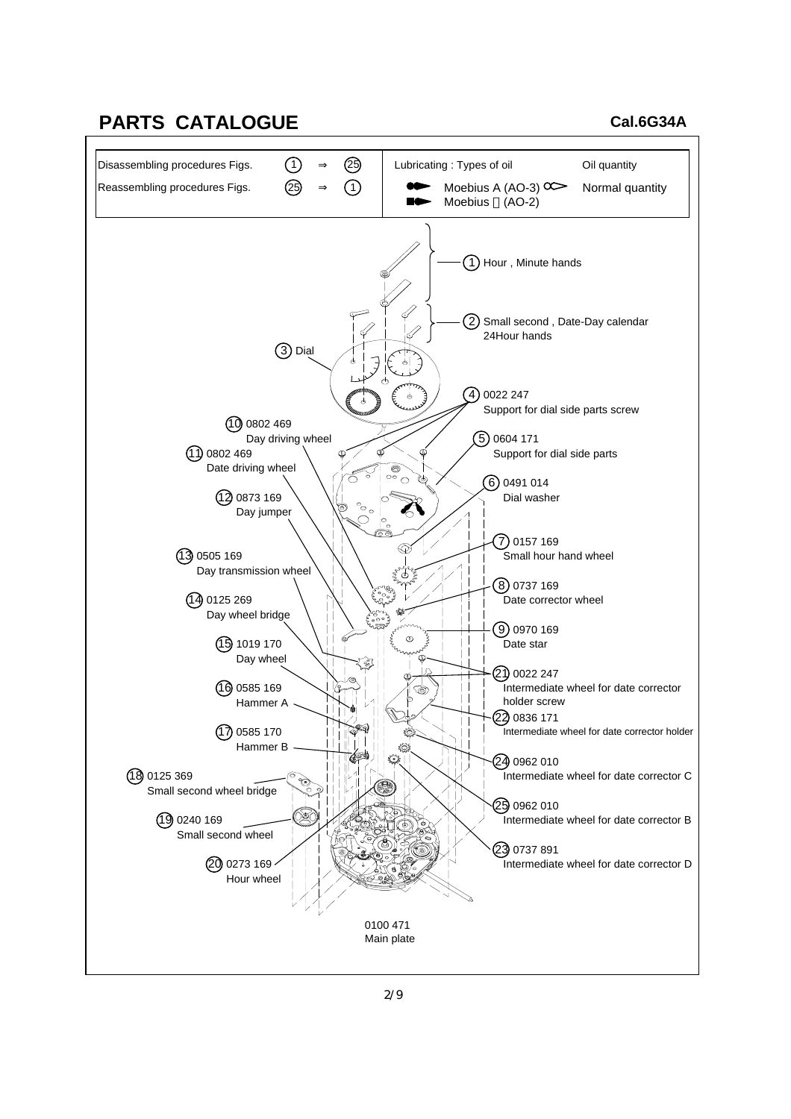### **PARTS CATALOGUE**

#### **Cal.6G34A**

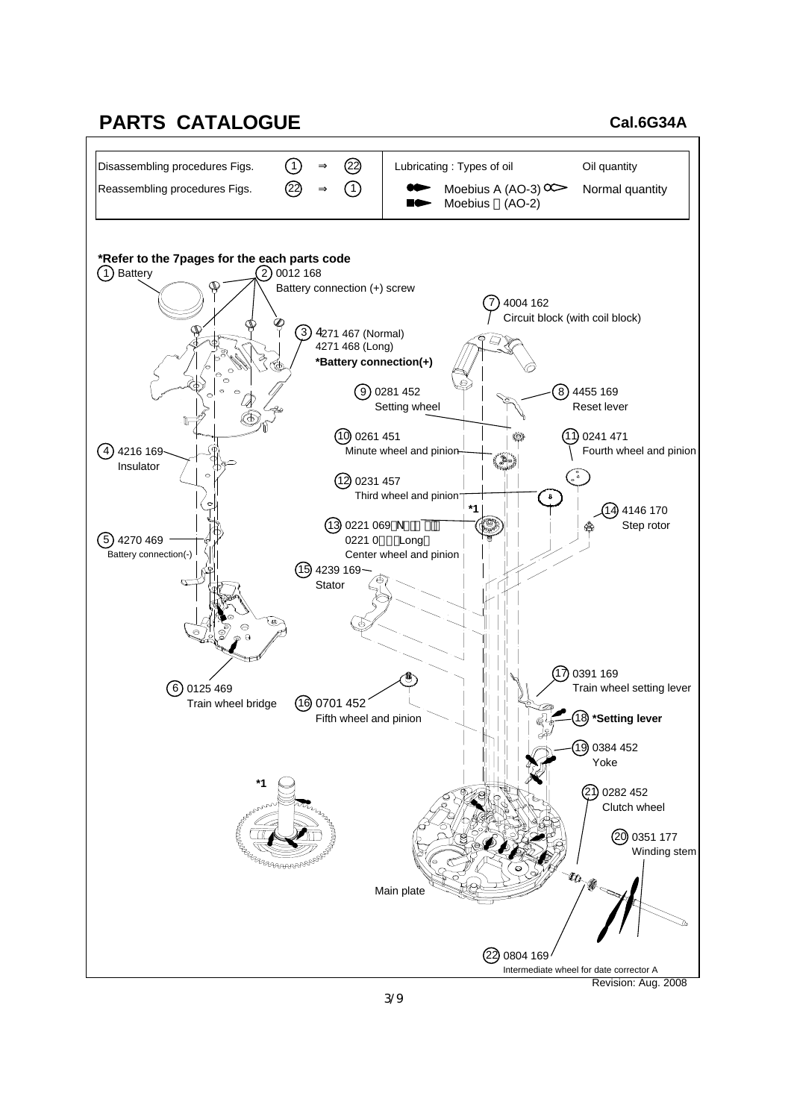#### **PARTS CATALOGUE**

#### **Cal.6G34A**

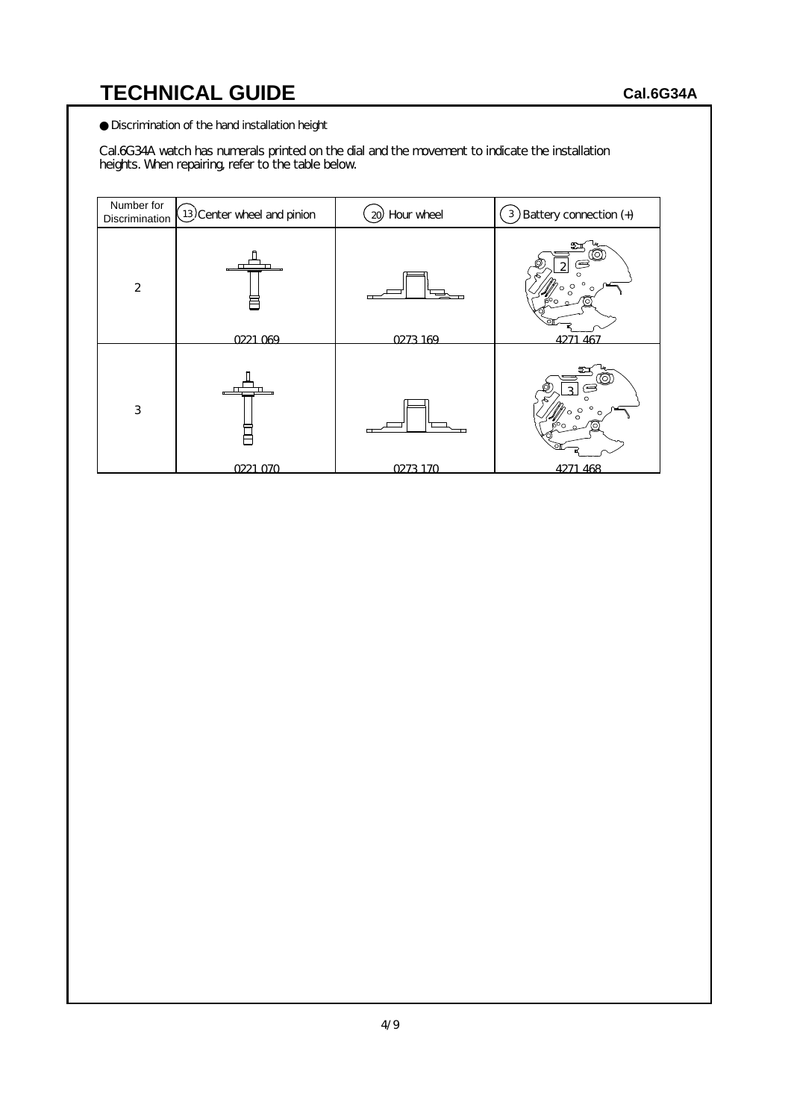Discrimination of the hand installation height

Cal.6G34A watch has numerals printed on the dial and the movement to indicate the installation heights. When repairing, refer to the table below.

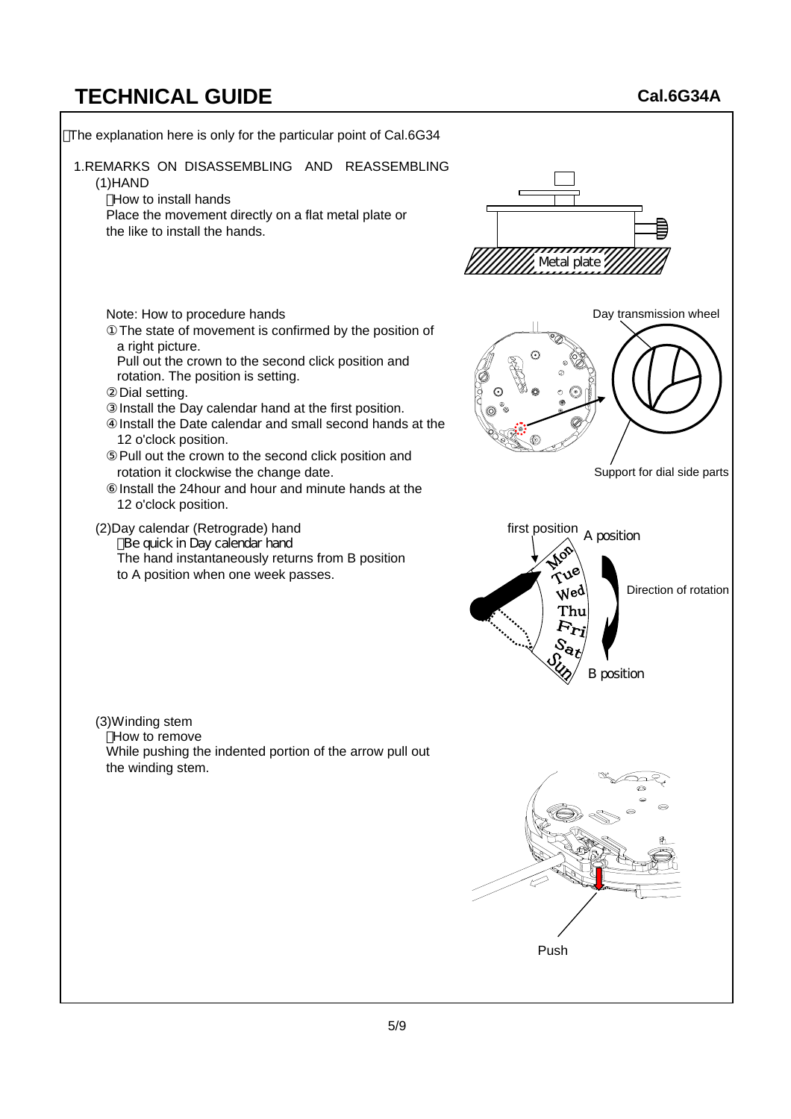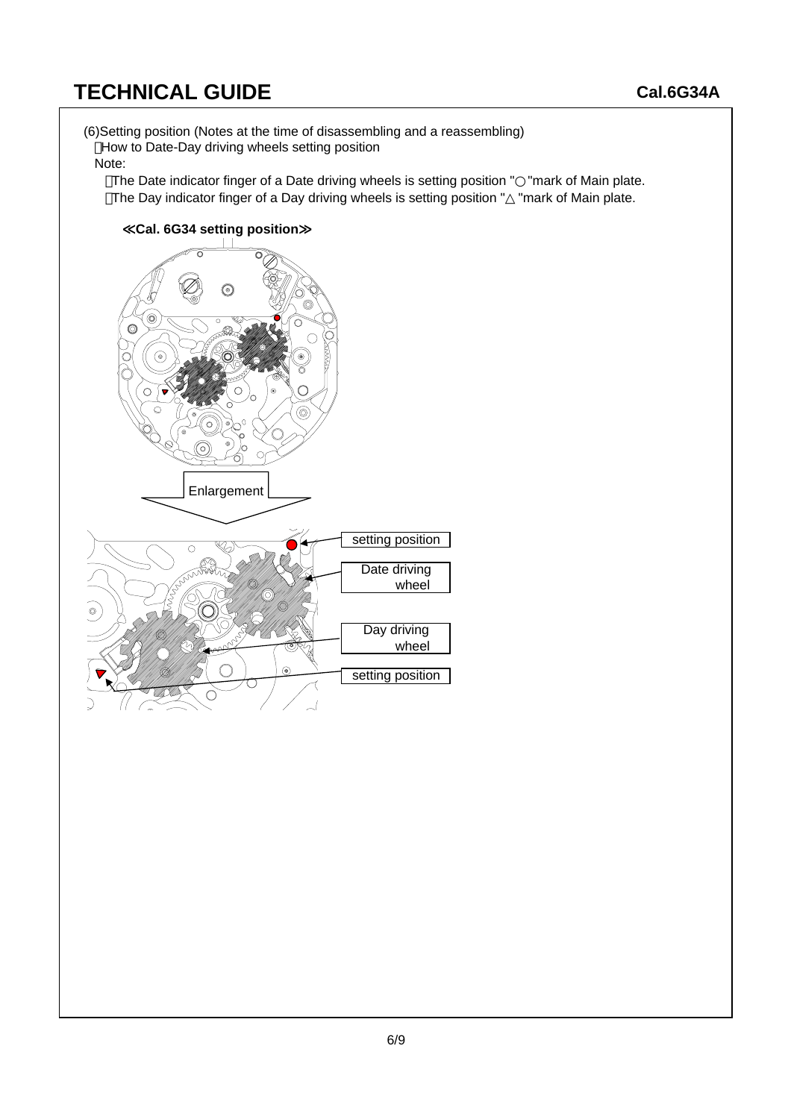(6)Setting position (Notes at the time of disassembling and a reassembling) How to Date-Day driving wheels setting position

#### Note:

The Date indicator finger of a Date driving wheels is setting position " "mark of Main plate. The Day indicator finger of a Day driving wheels is setting position " "mark of Main plate.

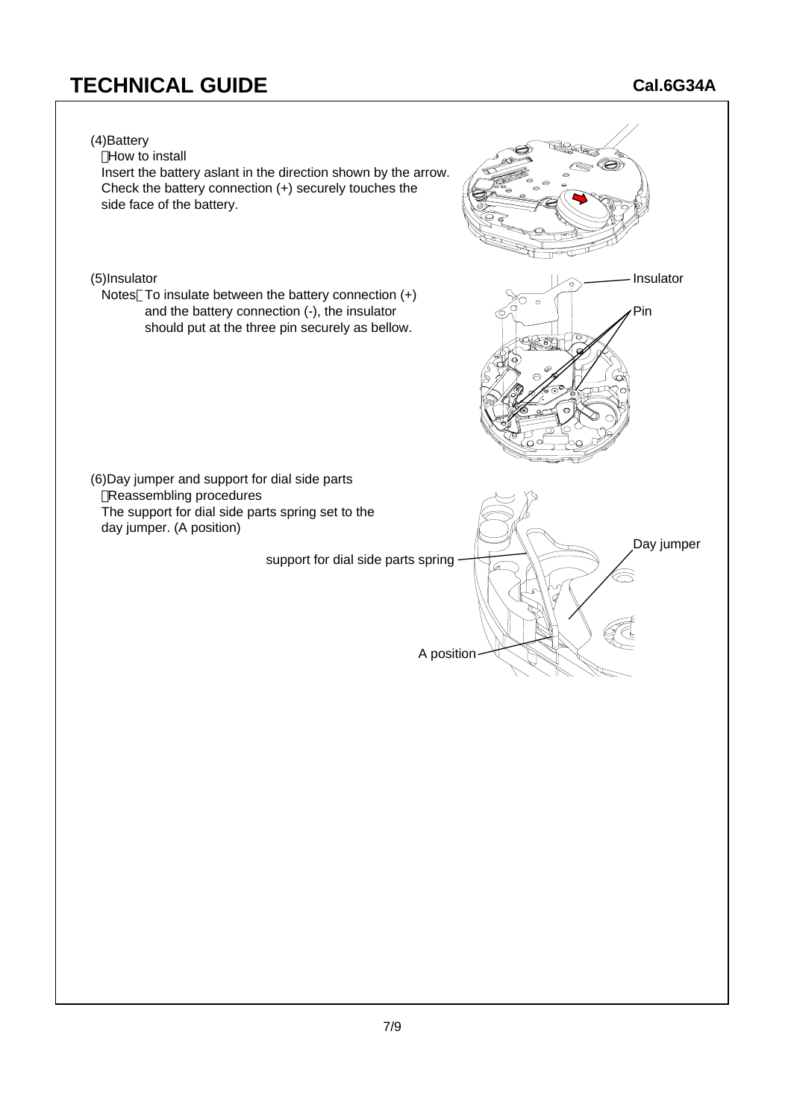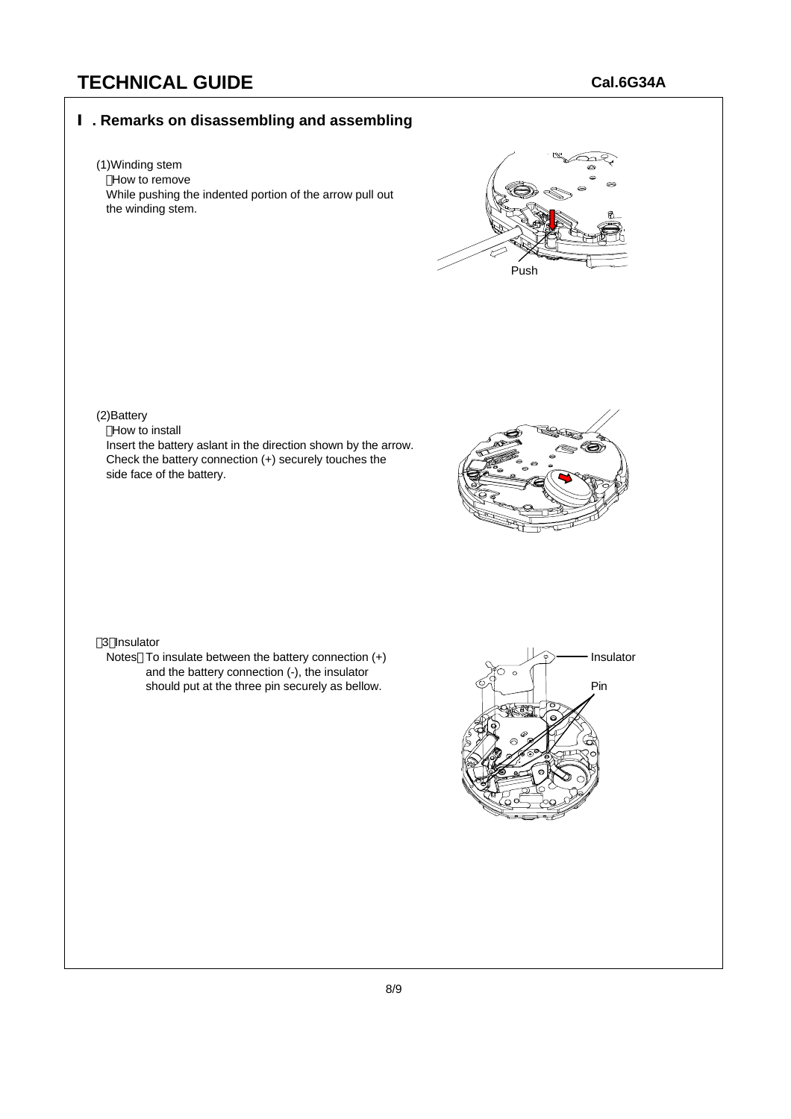